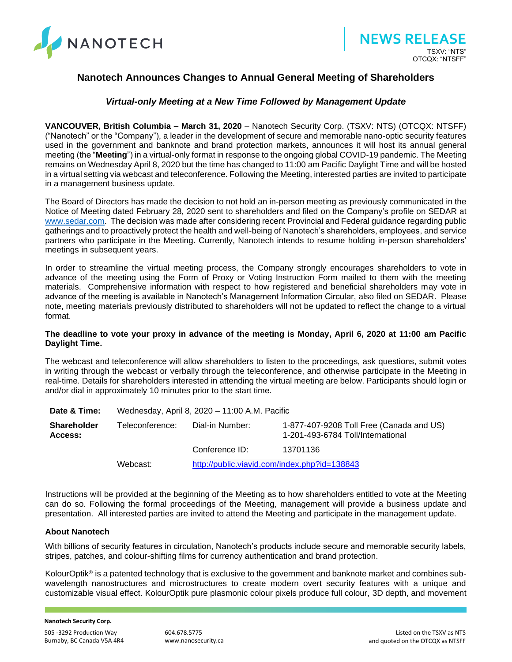

## **Nanotech Announces Changes to Annual General Meeting of Shareholders**

## *Virtual-only Meeting at a New Time Followed by Management Update*

**VANCOUVER, British Columbia – March 31, 2020** – Nanotech Security Corp. (TSXV: NTS) (OTCQX: NTSFF) ("Nanotech" or the "Company"), a leader in the development of secure and memorable nano-optic security features used in the government and banknote and brand protection markets, announces it will host its annual general meeting (the "**Meeting**") in a virtual-only format in response to the ongoing global COVID-19 pandemic. The Meeting remains on Wednesday April 8, 2020 but the time has changed to 11:00 am Pacific Daylight Time and will be hosted in a virtual setting via webcast and teleconference. Following the Meeting, interested parties are invited to participate in a management business update.

The Board of Directors has made the decision to not hold an in-person meeting as previously communicated in the Notice of Meeting dated February 28, 2020 sent to shareholders and filed on the Company's profile on SEDAR at [www.sedar.com.](file:///C:/Users/kryshak/AppData/Local/Microsoft/Windows/INetCache/Content.Outlook/DY2HPLT6/www.sedar.com) The decision was made after considering recent Provincial and Federal guidance regarding public gatherings and to proactively protect the health and well-being of Nanotech's shareholders, employees, and service partners who participate in the Meeting. Currently, Nanotech intends to resume holding in-person shareholders' meetings in subsequent years.

In order to streamline the virtual meeting process, the Company strongly encourages shareholders to vote in advance of the meeting using the Form of Proxy or Voting Instruction Form mailed to them with the meeting materials. Comprehensive information with respect to how registered and beneficial shareholders may vote in advance of the meeting is available in Nanotech's Management Information Circular, also filed on SEDAR. Please note, meeting materials previously distributed to shareholders will not be updated to reflect the change to a virtual format.

## **The deadline to vote your proxy in advance of the meeting is Monday, April 6, 2020 at 11:00 am Pacific Daylight Time.**

The webcast and teleconference will allow shareholders to listen to the proceedings, ask questions, submit votes in writing through the webcast or verbally through the teleconference, and otherwise participate in the Meeting in real-time. Details for shareholders interested in attending the virtual meeting are below. Participants should login or and/or dial in approximately 10 minutes prior to the start time.

| Date & Time:                  | Wednesday, April 8, 2020 - 11:00 A.M. Pacific |                                              |                                                                               |
|-------------------------------|-----------------------------------------------|----------------------------------------------|-------------------------------------------------------------------------------|
| <b>Shareholder</b><br>Access: | Teleconference:                               | Dial-in Number:                              | 1-877-407-9208 Toll Free (Canada and US)<br>1-201-493-6784 Toll/International |
|                               |                                               | Conference ID:                               | 13701136                                                                      |
|                               | Webcast:                                      | http://public.viavid.com/index.php?id=138843 |                                                                               |

Instructions will be provided at the beginning of the Meeting as to how shareholders entitled to vote at the Meeting can do so. Following the formal proceedings of the Meeting, management will provide a business update and presentation. All interested parties are invited to attend the Meeting and participate in the management update.

## **About Nanotech**

With billions of security features in circulation, Nanotech's products include secure and memorable security labels, stripes, patches, and colour-shifting films for currency authentication and brand protection.

KolourOptik<sup>®</sup> is a patented technology that is exclusive to the government and banknote market and combines subwavelength nanostructures and microstructures to create modern overt security features with a unique and customizable visual effect. KolourOptik pure plasmonic colour pixels produce full colour, 3D depth, and movement

**Nanotech Security Corp.**